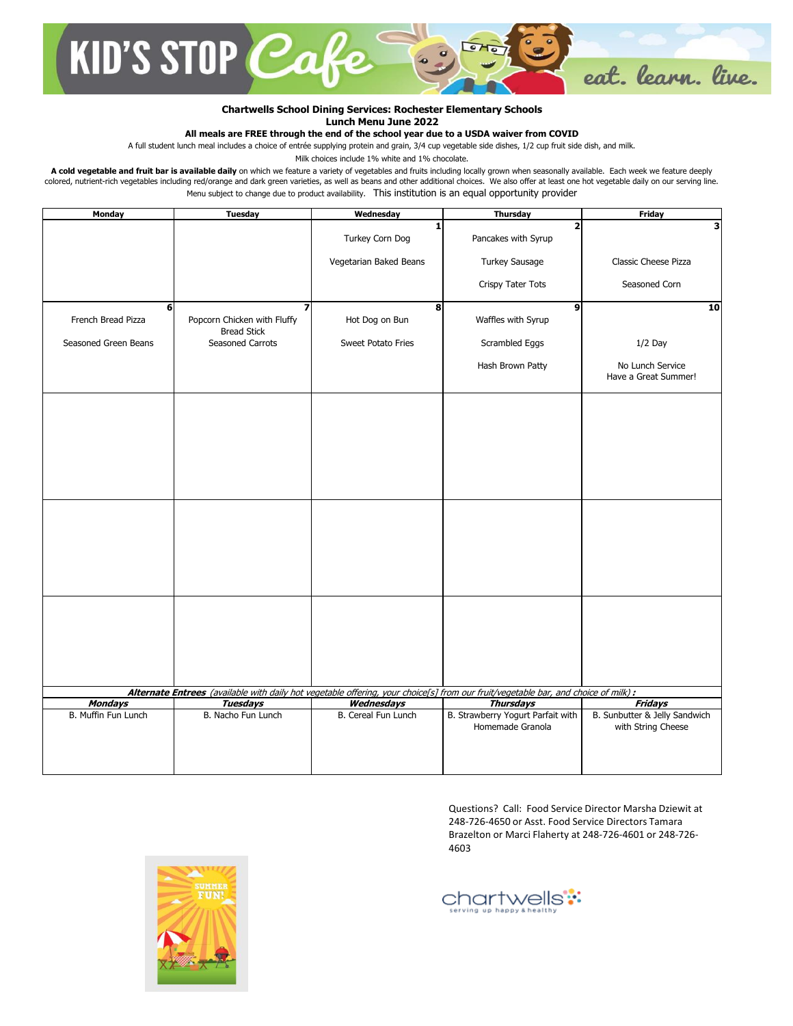

## **Chartwells School Dining Services: Rochester Elementary Schools Lunch Menu June 2022**

**All meals are FREE through the end of the school year due to a USDA waiver from COVID**

A full student lunch meal includes a choice of entrée supplying protein and grain, 3/4 cup vegetable side dishes, 1/2 cup fruit side dish, and milk.

Milk choices include 1% white and 1% chocolate.

A cold vegetable and fruit bar is available daily on which we feature a variety of vegetables and fruits including locally grown when seasonally available. Each week we feature deeply colored, nutrient-rich vegetables including red/orange and dark green varieties, as well as beans and other additional choices. We also offer at least one hot vegetable daily on our serving line. Menu subject to change due to product availability. This institution is an equal opportunity provider

| Monday                                                                                                                                                                                                                      | Tuesday                                                | Wednesday              | <b>Thursday</b>                                       | <b>Friday</b>                                       |  |
|-----------------------------------------------------------------------------------------------------------------------------------------------------------------------------------------------------------------------------|--------------------------------------------------------|------------------------|-------------------------------------------------------|-----------------------------------------------------|--|
|                                                                                                                                                                                                                             |                                                        | 1<br>Turkey Corn Dog   | $\overline{2}$<br>Pancakes with Syrup                 | 3                                                   |  |
|                                                                                                                                                                                                                             |                                                        | Vegetarian Baked Beans | Turkey Sausage                                        | Classic Cheese Pizza                                |  |
|                                                                                                                                                                                                                             |                                                        |                        | Crispy Tater Tots                                     | Seasoned Corn                                       |  |
| 6<br>French Bread Pizza                                                                                                                                                                                                     | 7<br>Popcorn Chicken with Fluffy<br><b>Bread Stick</b> | 8<br>Hot Dog on Bun    | $\mathbf{9}$<br>Waffles with Syrup                    | 10                                                  |  |
| Seasoned Green Beans                                                                                                                                                                                                        | <b>Seasoned Carrots</b>                                | Sweet Potato Fries     | Scrambled Eggs                                        | $1/2$ Day                                           |  |
|                                                                                                                                                                                                                             |                                                        |                        | Hash Brown Patty                                      | No Lunch Service<br>Have a Great Summer!            |  |
|                                                                                                                                                                                                                             |                                                        |                        |                                                       |                                                     |  |
|                                                                                                                                                                                                                             |                                                        |                        |                                                       |                                                     |  |
|                                                                                                                                                                                                                             |                                                        |                        |                                                       |                                                     |  |
|                                                                                                                                                                                                                             |                                                        |                        |                                                       |                                                     |  |
|                                                                                                                                                                                                                             |                                                        |                        |                                                       |                                                     |  |
|                                                                                                                                                                                                                             |                                                        |                        |                                                       |                                                     |  |
|                                                                                                                                                                                                                             |                                                        |                        |                                                       |                                                     |  |
|                                                                                                                                                                                                                             |                                                        |                        |                                                       |                                                     |  |
|                                                                                                                                                                                                                             |                                                        |                        |                                                       |                                                     |  |
|                                                                                                                                                                                                                             |                                                        |                        |                                                       |                                                     |  |
|                                                                                                                                                                                                                             |                                                        |                        |                                                       |                                                     |  |
| Alternate Entrees (available with daily hot vegetable offering, your choice[s] from our fruit/vegetable bar, and choice of milk) :<br><b>Mondays</b><br>Wednesdays<br><b>Thursdays</b><br><b>Fridays</b><br><b>Tuesdays</b> |                                                        |                        |                                                       |                                                     |  |
| B. Muffin Fun Lunch                                                                                                                                                                                                         | B. Nacho Fun Lunch                                     | B. Cereal Fun Lunch    | B. Strawberry Yogurt Parfait with<br>Homemade Granola | B. Sunbutter & Jelly Sandwich<br>with String Cheese |  |
|                                                                                                                                                                                                                             |                                                        |                        |                                                       |                                                     |  |

Questions? Call: Food Service Director Marsha Dziewit at 248-726-4650 or Asst. Food Service Directors Tamara Brazelton or Marci Flaherty at 248-726-4601 or 248-726- 4603